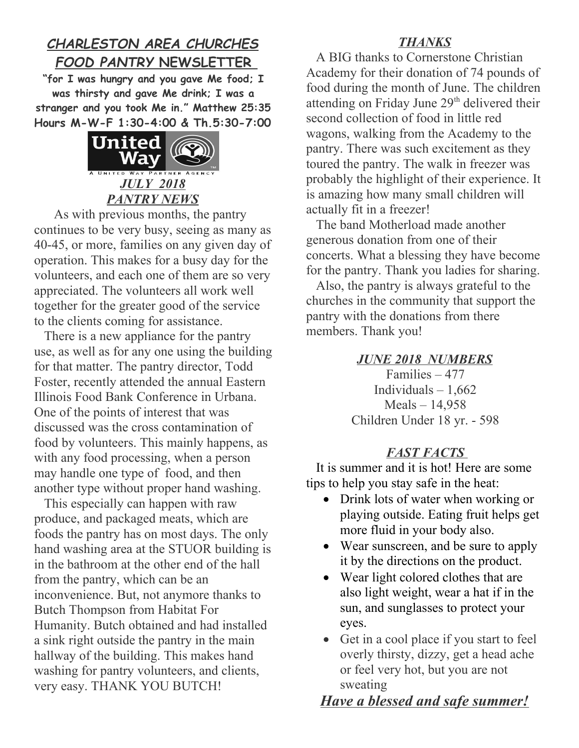## *CHARLESTON AREA CHURCHES FOOD PANTRY* **NEWSLETTER**

**"for I was hungry and you gave Me food; I was thirsty and gave Me drink; I was a stranger and you took Me in." Matthew 25:35 Hours M-W-F 1:30-4:00 & Th.5:30-7:00**



As with previous months, the pantry continues to be very busy, seeing as many as 40-45, or more, families on any given day of operation. This makes for a busy day for the volunteers, and each one of them are so very appreciated. The volunteers all work well together for the greater good of the service to the clients coming for assistance.

 There is a new appliance for the pantry use, as well as for any one using the building for that matter. The pantry director, Todd Foster, recently attended the annual Eastern Illinois Food Bank Conference in Urbana. One of the points of interest that was discussed was the cross contamination of food by volunteers. This mainly happens, as with any food processing, when a person may handle one type of food, and then another type without proper hand washing.

 This especially can happen with raw produce, and packaged meats, which are foods the pantry has on most days. The only hand washing area at the STUOR building is in the bathroom at the other end of the hall from the pantry, which can be an inconvenience. But, not anymore thanks to Butch Thompson from Habitat For Humanity. Butch obtained and had installed a sink right outside the pantry in the main hallway of the building. This makes hand washing for pantry volunteers, and clients, very easy. THANK YOU BUTCH!

## *THANKS*

 A BIG thanks to Cornerstone Christian Academy for their donation of 74 pounds of food during the month of June. The children attending on Friday June 29<sup>th</sup> delivered their second collection of food in little red wagons, walking from the Academy to the pantry. There was such excitement as they toured the pantry. The walk in freezer was probably the highlight of their experience. It is amazing how many small children will actually fit in a freezer!

 The band Motherload made another generous donation from one of their concerts. What a blessing they have become for the pantry. Thank you ladies for sharing.

 Also, the pantry is always grateful to the churches in the community that support the pantry with the donations from there members. Thank you!

*JUNE 2018 NUMBERS*

Families – 477 Individuals  $-1,662$ Meals – 14,958 Children Under 18 yr. - 598

## *FAST FACTS*

 It is summer and it is hot! Here are some tips to help you stay safe in the heat:

- Drink lots of water when working or playing outside. Eating fruit helps get more fluid in your body also.
- Wear sunscreen, and be sure to apply it by the directions on the product.
- Wear light colored clothes that are also light weight, wear a hat if in the sun, and sunglasses to protect your eyes.
- Get in a cool place if you start to feel overly thirsty, dizzy, get a head ache or feel very hot, but you are not sweating

## *Have a blessed and safe summer!*